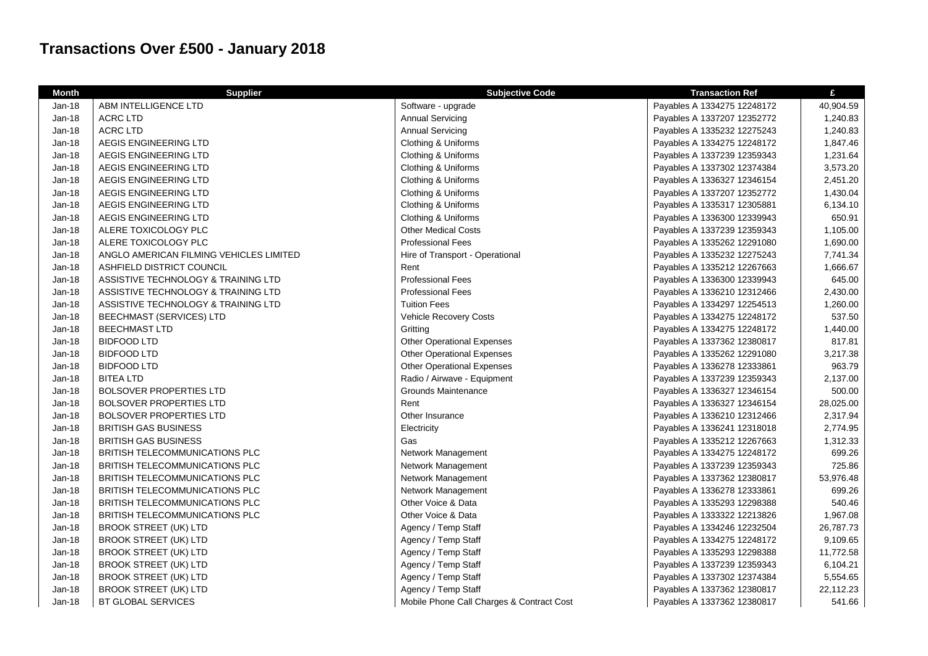## **Transactions Over £500 - January 2018**

| <b>Month</b> | <b>Supplier</b>                         | <b>Subjective Code</b>                    | <b>Transaction Ref</b>      | £         |
|--------------|-----------------------------------------|-------------------------------------------|-----------------------------|-----------|
| Jan-18       | ABM INTELLIGENCE LTD                    | Software - upgrade                        | Payables A 1334275 12248172 | 40,904.59 |
| Jan-18       | <b>ACRC LTD</b>                         | <b>Annual Servicing</b>                   | Payables A 1337207 12352772 | 1,240.83  |
| Jan-18       | <b>ACRC LTD</b>                         | <b>Annual Servicing</b>                   | Payables A 1335232 12275243 | 1,240.83  |
| $Jan-18$     | AEGIS ENGINEERING LTD                   | Clothing & Uniforms                       | Payables A 1334275 12248172 | 1,847.46  |
| Jan-18       | AEGIS ENGINEERING LTD                   | Clothing & Uniforms                       | Payables A 1337239 12359343 | 1,231.64  |
| Jan-18       | AEGIS ENGINEERING LTD                   | Clothing & Uniforms                       | Payables A 1337302 12374384 | 3,573.20  |
| Jan-18       | AEGIS ENGINEERING LTD                   | Clothing & Uniforms                       | Payables A 1336327 12346154 | 2,451.20  |
| $Jan-18$     | AEGIS ENGINEERING LTD                   | Clothing & Uniforms                       | Payables A 1337207 12352772 | 1,430.04  |
| Jan-18       | AEGIS ENGINEERING LTD                   | Clothing & Uniforms                       | Payables A 1335317 12305881 | 6,134.10  |
| Jan-18       | AEGIS ENGINEERING LTD                   | Clothing & Uniforms                       | Payables A 1336300 12339943 | 650.91    |
| Jan-18       | ALERE TOXICOLOGY PLC                    | <b>Other Medical Costs</b>                | Payables A 1337239 12359343 | 1,105.00  |
| Jan-18       | ALERE TOXICOLOGY PLC                    | <b>Professional Fees</b>                  | Payables A 1335262 12291080 | 1,690.00  |
| Jan-18       | ANGLO AMERICAN FILMING VEHICLES LIMITED | Hire of Transport - Operational           | Payables A 1335232 12275243 | 7,741.34  |
| Jan-18       | ASHFIELD DISTRICT COUNCIL               | Rent                                      | Payables A 1335212 12267663 | 1,666.67  |
| Jan-18       | ASSISTIVE TECHNOLOGY & TRAINING LTD     | <b>Professional Fees</b>                  | Payables A 1336300 12339943 | 645.00    |
| Jan-18       | ASSISTIVE TECHNOLOGY & TRAINING LTD     | <b>Professional Fees</b>                  | Payables A 1336210 12312466 | 2,430.00  |
| Jan-18       | ASSISTIVE TECHNOLOGY & TRAINING LTD     | <b>Tuition Fees</b>                       | Payables A 1334297 12254513 | 1,260.00  |
| Jan-18       | <b>BEECHMAST (SERVICES) LTD</b>         | Vehicle Recovery Costs                    | Payables A 1334275 12248172 | 537.50    |
| Jan-18       | <b>BEECHMAST LTD</b>                    | Gritting                                  | Payables A 1334275 12248172 | 1,440.00  |
| Jan-18       | <b>BIDFOOD LTD</b>                      | <b>Other Operational Expenses</b>         | Payables A 1337362 12380817 | 817.81    |
| Jan-18       | <b>BIDFOOD LTD</b>                      | <b>Other Operational Expenses</b>         | Payables A 1335262 12291080 | 3,217.38  |
| Jan-18       | <b>BIDFOOD LTD</b>                      | <b>Other Operational Expenses</b>         | Payables A 1336278 12333861 | 963.79    |
| Jan-18       | <b>BITEA LTD</b>                        | Radio / Airwave - Equipment               | Payables A 1337239 12359343 | 2,137.00  |
| Jan-18       | <b>BOLSOVER PROPERTIES LTD</b>          | Grounds Maintenance                       | Payables A 1336327 12346154 | 500.00    |
| Jan-18       | <b>BOLSOVER PROPERTIES LTD</b>          | Rent                                      | Payables A 1336327 12346154 | 28,025.00 |
| Jan-18       | <b>BOLSOVER PROPERTIES LTD</b>          | Other Insurance                           | Payables A 1336210 12312466 | 2,317.94  |
| Jan-18       | <b>BRITISH GAS BUSINESS</b>             | Electricity                               | Payables A 1336241 12318018 | 2,774.95  |
| $Jan-18$     | <b>BRITISH GAS BUSINESS</b>             | Gas                                       | Payables A 1335212 12267663 | 1,312.33  |
| Jan-18       | BRITISH TELECOMMUNICATIONS PLC          | Network Management                        | Payables A 1334275 12248172 | 699.26    |
| Jan-18       | BRITISH TELECOMMUNICATIONS PLC          | Network Management                        | Payables A 1337239 12359343 | 725.86    |
| Jan-18       | BRITISH TELECOMMUNICATIONS PLC          | Network Management                        | Payables A 1337362 12380817 | 53,976.48 |
| Jan-18       | BRITISH TELECOMMUNICATIONS PLC          | Network Management                        | Payables A 1336278 12333861 | 699.26    |
| Jan-18       | BRITISH TELECOMMUNICATIONS PLC          | Other Voice & Data                        | Payables A 1335293 12298388 | 540.46    |
| Jan-18       | BRITISH TELECOMMUNICATIONS PLC          | Other Voice & Data                        | Payables A 1333322 12213826 | 1,967.08  |
| Jan-18       | BROOK STREET (UK) LTD                   | Agency / Temp Staff                       | Payables A 1334246 12232504 | 26,787.73 |
| Jan-18       | <b>BROOK STREET (UK) LTD</b>            | Agency / Temp Staff                       | Payables A 1334275 12248172 | 9,109.65  |
| Jan-18       | <b>BROOK STREET (UK) LTD</b>            | Agency / Temp Staff                       | Payables A 1335293 12298388 | 11,772.58 |
| Jan-18       | <b>BROOK STREET (UK) LTD</b>            | Agency / Temp Staff                       | Payables A 1337239 12359343 | 6,104.21  |
| Jan-18       | <b>BROOK STREET (UK) LTD</b>            | Agency / Temp Staff                       | Payables A 1337302 12374384 | 5,554.65  |
| Jan-18       | <b>BROOK STREET (UK) LTD</b>            | Agency / Temp Staff                       | Payables A 1337362 12380817 | 22,112.23 |
| Jan-18       | BT GLOBAL SERVICES                      | Mobile Phone Call Charges & Contract Cost | Payables A 1337362 12380817 | 541.66    |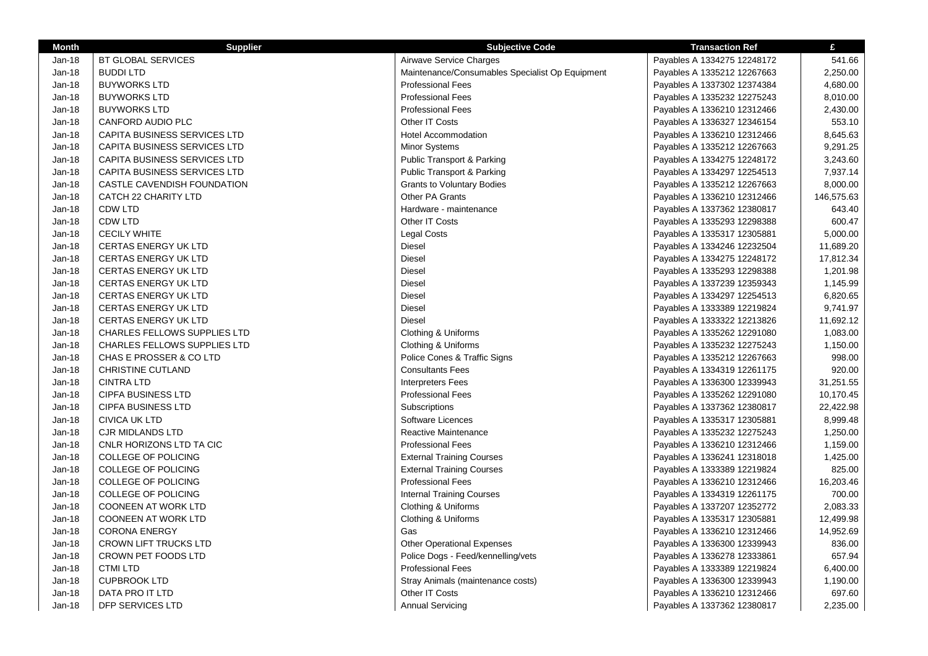| <b>Month</b>  | <b>Supplier</b>                     | <b>Subjective Code</b>                          | <b>Transaction Ref</b>      | £          |
|---------------|-------------------------------------|-------------------------------------------------|-----------------------------|------------|
| Jan-18        | <b>BT GLOBAL SERVICES</b>           | Airwave Service Charges                         | Payables A 1334275 12248172 | 541.66     |
| Jan-18        | <b>BUDDI LTD</b>                    | Maintenance/Consumables Specialist Op Equipment | Payables A 1335212 12267663 | 2,250.00   |
| $Jan-18$      | <b>BUYWORKS LTD</b>                 | <b>Professional Fees</b>                        | Payables A 1337302 12374384 | 4,680.00   |
| Jan-18        | <b>BUYWORKS LTD</b>                 | <b>Professional Fees</b>                        | Payables A 1335232 12275243 | 8,010.00   |
| $Jan-18$      | <b>BUYWORKS LTD</b>                 | <b>Professional Fees</b>                        | Payables A 1336210 12312466 | 2,430.00   |
| Jan-18        | CANFORD AUDIO PLC                   | Other IT Costs                                  | Payables A 1336327 12346154 | 553.10     |
| Jan-18        | CAPITA BUSINESS SERVICES LTD        | <b>Hotel Accommodation</b>                      | Payables A 1336210 12312466 | 8,645.63   |
| Jan-18        | CAPITA BUSINESS SERVICES LTD        | <b>Minor Systems</b>                            | Payables A 1335212 12267663 | 9,291.25   |
| Jan-18        | <b>CAPITA BUSINESS SERVICES LTD</b> | Public Transport & Parking                      | Payables A 1334275 12248172 | 3,243.60   |
| Jan-18        | <b>CAPITA BUSINESS SERVICES LTD</b> | <b>Public Transport &amp; Parking</b>           | Payables A 1334297 12254513 | 7,937.14   |
| Jan-18        | CASTLE CAVENDISH FOUNDATION         | <b>Grants to Voluntary Bodies</b>               | Payables A 1335212 12267663 | 8,000.00   |
| Jan-18        | CATCH 22 CHARITY LTD                | Other PA Grants                                 | Payables A 1336210 12312466 | 146,575.63 |
| Jan-18        | CDW LTD                             | Hardware - maintenance                          | Payables A 1337362 12380817 | 643.40     |
| Jan-18        | <b>CDW LTD</b>                      | Other IT Costs                                  | Payables A 1335293 12298388 | 600.47     |
| Jan-18        | <b>CECILY WHITE</b>                 | <b>Legal Costs</b>                              | Payables A 1335317 12305881 | 5,000.00   |
| Jan-18        | CERTAS ENERGY UK LTD                | Diesel                                          | Payables A 1334246 12232504 | 11,689.20  |
| Jan-18        | <b>CERTAS ENERGY UK LTD</b>         | Diesel                                          | Payables A 1334275 12248172 | 17,812.34  |
| Jan-18        | <b>CERTAS ENERGY UK LTD</b>         | <b>Diesel</b>                                   | Payables A 1335293 12298388 | 1,201.98   |
| Jan-18        | <b>CERTAS ENERGY UK LTD</b>         | Diesel                                          | Payables A 1337239 12359343 | 1,145.99   |
| Jan-18        | <b>CERTAS ENERGY UK LTD</b>         | <b>Diesel</b>                                   | Payables A 1334297 12254513 | 6,820.65   |
| Jan-18        | <b>CERTAS ENERGY UK LTD</b>         | <b>Diesel</b>                                   | Payables A 1333389 12219824 | 9,741.97   |
| Jan-18        | <b>CERTAS ENERGY UK LTD</b>         | <b>Diesel</b>                                   | Payables A 1333322 12213826 | 11,692.12  |
| Jan-18        | <b>CHARLES FELLOWS SUPPLIES LTD</b> | Clothing & Uniforms                             | Payables A 1335262 12291080 | 1,083.00   |
| <b>Jan-18</b> | <b>CHARLES FELLOWS SUPPLIES LTD</b> | Clothing & Uniforms                             | Payables A 1335232 12275243 | 1,150.00   |
| Jan-18        | CHAS E PROSSER & CO LTD             | Police Cones & Traffic Signs                    | Payables A 1335212 12267663 | 998.00     |
| $Jan-18$      | <b>CHRISTINE CUTLAND</b>            | <b>Consultants Fees</b>                         | Payables A 1334319 12261175 | 920.00     |
| Jan-18        | <b>CINTRA LTD</b>                   | <b>Interpreters Fees</b>                        | Payables A 1336300 12339943 | 31,251.55  |
| Jan-18        | <b>CIPFA BUSINESS LTD</b>           | <b>Professional Fees</b>                        | Payables A 1335262 12291080 | 10,170.45  |
| Jan-18        | <b>CIPFA BUSINESS LTD</b>           | Subscriptions                                   | Payables A 1337362 12380817 | 22,422.98  |
| Jan-18        | <b>CIVICA UK LTD</b>                | Software Licences                               | Payables A 1335317 12305881 | 8,999.48   |
| Jan-18        | <b>CJR MIDLANDS LTD</b>             | Reactive Maintenance                            | Payables A 1335232 12275243 | 1,250.00   |
| Jan-18        | CNLR HORIZONS LTD TA CIC            | <b>Professional Fees</b>                        | Payables A 1336210 12312466 | 1,159.00   |
| Jan-18        | <b>COLLEGE OF POLICING</b>          | <b>External Training Courses</b>                | Payables A 1336241 12318018 | 1,425.00   |
| Jan-18        | <b>COLLEGE OF POLICING</b>          | <b>External Training Courses</b>                | Payables A 1333389 12219824 | 825.00     |
| Jan-18        | <b>COLLEGE OF POLICING</b>          | <b>Professional Fees</b>                        | Payables A 1336210 12312466 | 16,203.46  |
| Jan-18        | <b>COLLEGE OF POLICING</b>          | <b>Internal Training Courses</b>                | Payables A 1334319 12261175 | 700.00     |
| Jan-18        | <b>COONEEN AT WORK LTD</b>          | Clothing & Uniforms                             | Payables A 1337207 12352772 | 2,083.33   |
| Jan-18        | <b>COONEEN AT WORK LTD</b>          | Clothing & Uniforms                             | Payables A 1335317 12305881 | 12,499.98  |
| Jan-18        | <b>CORONA ENERGY</b>                | Gas                                             | Payables A 1336210 12312466 | 14,952.69  |
| Jan-18        | <b>CROWN LIFT TRUCKS LTD</b>        | <b>Other Operational Expenses</b>               | Payables A 1336300 12339943 | 836.00     |
| Jan-18        | CROWN PET FOODS LTD                 | Police Dogs - Feed/kennelling/vets              | Payables A 1336278 12333861 | 657.94     |
| Jan-18        | <b>CTMI LTD</b>                     | <b>Professional Fees</b>                        | Payables A 1333389 12219824 | 6,400.00   |
| Jan-18        | <b>CUPBROOK LTD</b>                 | Stray Animals (maintenance costs)               | Payables A 1336300 12339943 | 1,190.00   |
| Jan-18        | DATA PRO IT LTD                     | Other IT Costs                                  | Payables A 1336210 12312466 | 697.60     |
| Jan-18        | DFP SERVICES LTD                    | <b>Annual Servicing</b>                         | Payables A 1337362 12380817 | 2,235.00   |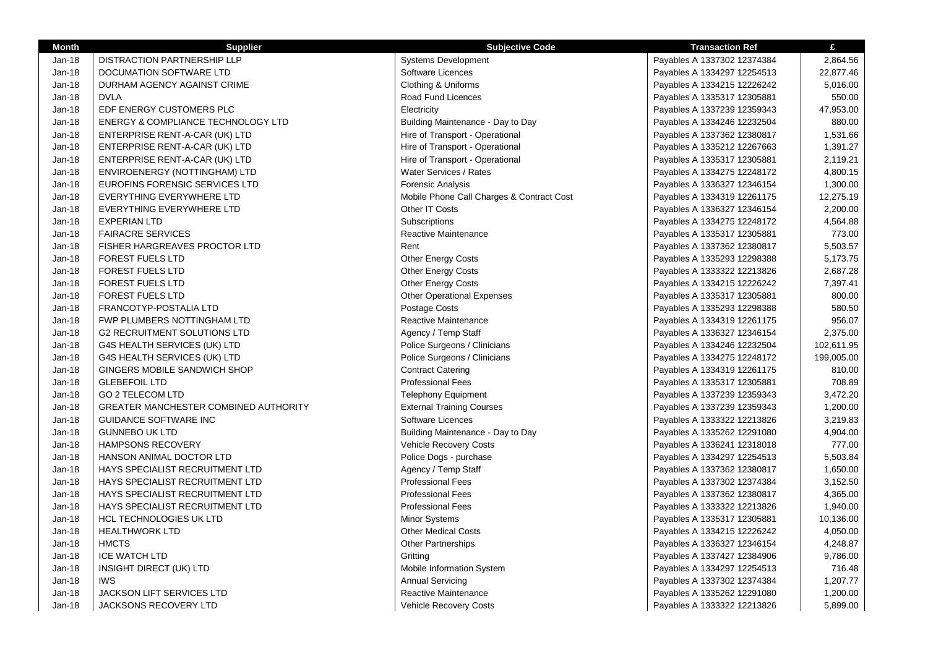| <b>Month</b>  | <b>Supplier</b>                        | <b>Subjective Code</b>                    | <b>Transaction Ref</b>      | £          |
|---------------|----------------------------------------|-------------------------------------------|-----------------------------|------------|
| Jan-18        | DISTRACTION PARTNERSHIP LLP            | <b>Systems Development</b>                | Payables A 1337302 12374384 | 2,864.56   |
| Jan-18        | DOCUMATION SOFTWARE LTD                | Software Licences                         | Payables A 1334297 12254513 | 22,877.46  |
| $Jan-18$      | DURHAM AGENCY AGAINST CRIME            | Clothing & Uniforms                       | Payables A 1334215 12226242 | 5,016.00   |
| Jan-18        | <b>DVLA</b>                            | Road Fund Licences                        | Payables A 1335317 12305881 | 550.00     |
| Jan-18        | EDF ENERGY CUSTOMERS PLC               | Electricity                               | Payables A 1337239 12359343 | 47,953.00  |
| Jan-18        | ENERGY & COMPLIANCE TECHNOLOGY LTD     | Building Maintenance - Day to Day         | Payables A 1334246 12232504 | 880.00     |
| $Jan-18$      | ENTERPRISE RENT-A-CAR (UK) LTD         | Hire of Transport - Operational           | Payables A 1337362 12380817 | 1,531.66   |
| Jan-18        | ENTERPRISE RENT-A-CAR (UK) LTD         | Hire of Transport - Operational           | Payables A 1335212 12267663 | 1,391.27   |
| Jan-18        | ENTERPRISE RENT-A-CAR (UK) LTD         | Hire of Transport - Operational           | Payables A 1335317 12305881 | 2,119.21   |
| Jan-18        | ENVIROENERGY (NOTTINGHAM) LTD          | Water Services / Rates                    | Payables A 1334275 12248172 | 4,800.15   |
| Jan-18        | EUROFINS FORENSIC SERVICES LTD         | <b>Forensic Analysis</b>                  | Payables A 1336327 12346154 | 1,300.00   |
| Jan-18        | EVERYTHING EVERYWHERE LTD              | Mobile Phone Call Charges & Contract Cost | Payables A 1334319 12261175 | 12,275.19  |
| Jan-18        | EVERYTHING EVERYWHERE LTD              | Other IT Costs                            | Payables A 1336327 12346154 | 2,200.00   |
| $Jan-18$      | <b>EXPERIAN LTD</b>                    | Subscriptions                             | Payables A 1334275 12248172 | 4,564.88   |
| $Jan-18$      | <b>FAIRACRE SERVICES</b>               | Reactive Maintenance                      | Payables A 1335317 12305881 | 773.00     |
| $Jan-18$      | FISHER HARGREAVES PROCTOR LTD          | Rent                                      | Payables A 1337362 12380817 | 5,503.57   |
| Jan-18        | <b>FOREST FUELS LTD</b>                | <b>Other Energy Costs</b>                 | Payables A 1335293 12298388 | 5,173.75   |
| Jan-18        | <b>FOREST FUELS LTD</b>                | Other Energy Costs                        | Payables A 1333322 12213826 | 2,687.28   |
| Jan-18        | <b>FOREST FUELS LTD</b>                | Other Energy Costs                        | Payables A 1334215 12226242 | 7,397.41   |
| Jan-18        | <b>FOREST FUELS LTD</b>                | <b>Other Operational Expenses</b>         | Payables A 1335317 12305881 | 800.00     |
| Jan-18        | FRANCOTYP-POSTALIA LTD                 | Postage Costs                             | Payables A 1335293 12298388 | 580.50     |
| Jan-18        | FWP PLUMBERS NOTTINGHAM LTD            | Reactive Maintenance                      | Payables A 1334319 12261175 | 956.07     |
| Jan-18        | <b>G2 RECRUITMENT SOLUTIONS LTD</b>    | Agency / Temp Staff                       | Payables A 1336327 12346154 | 2,375.00   |
| Jan-18        | G4S HEALTH SERVICES (UK) LTD           | Police Surgeons / Clinicians              | Payables A 1334246 12232504 | 102,611.95 |
| Jan-18        | G4S HEALTH SERVICES (UK) LTD           | Police Surgeons / Clinicians              | Payables A 1334275 12248172 | 199,005.00 |
| Jan-18        | GINGERS MOBILE SANDWICH SHOP           | <b>Contract Catering</b>                  | Payables A 1334319 12261175 | 810.00     |
| <b>Jan-18</b> | <b>GLEBEFOIL LTD</b>                   | <b>Professional Fees</b>                  | Payables A 1335317 12305881 | 708.89     |
| Jan-18        | <b>GO 2 TELECOM LTD</b>                | <b>Telephony Equipment</b>                | Payables A 1337239 12359343 | 3,472.20   |
| Jan-18        | GREATER MANCHESTER COMBINED AUTHORITY  | <b>External Training Courses</b>          | Payables A 1337239 12359343 | 1,200.00   |
| Jan-18        | <b>GUIDANCE SOFTWARE INC</b>           | Software Licences                         | Payables A 1333322 12213826 | 3,219.83   |
| Jan-18        | <b>GUNNEBO UK LTD</b>                  | Building Maintenance - Day to Day         | Payables A 1335262 12291080 | 4,904.00   |
| Jan-18        | <b>HAMPSONS RECOVERY</b>               | <b>Vehicle Recovery Costs</b>             | Payables A 1336241 12318018 | 777.00     |
| <b>Jan-18</b> | HANSON ANIMAL DOCTOR LTD               | Police Dogs - purchase                    | Payables A 1334297 12254513 | 5,503.84   |
| Jan-18        | HAYS SPECIALIST RECRUITMENT LTD        | Agency / Temp Staff                       | Payables A 1337362 12380817 | 1,650.00   |
| Jan-18        | HAYS SPECIALIST RECRUITMENT LTD        | <b>Professional Fees</b>                  | Payables A 1337302 12374384 | 3,152.50   |
| Jan-18        | HAYS SPECIALIST RECRUITMENT LTD        | <b>Professional Fees</b>                  | Payables A 1337362 12380817 | 4,365.00   |
| Jan-18        | <b>HAYS SPECIALIST RECRUITMENT LTD</b> | <b>Professional Fees</b>                  | Payables A 1333322 12213826 | 1,940.00   |
| Jan-18        | <b>HCL TECHNOLOGIES UK LTD</b>         | <b>Minor Systems</b>                      | Payables A 1335317 12305881 | 10,136.00  |
| Jan-18        | <b>HEALTHWORK LTD</b>                  | <b>Other Medical Costs</b>                | Payables A 1334215 12226242 | 4,050.00   |
| Jan-18        | <b>HMCTS</b>                           | <b>Other Partnerships</b>                 | Payables A 1336327 12346154 | 4,248.87   |
| Jan-18        | <b>ICE WATCH LTD</b>                   | Gritting                                  | Payables A 1337427 12384906 | 9,786.00   |
| Jan-18        | INSIGHT DIRECT (UK) LTD                | Mobile Information System                 | Payables A 1334297 12254513 | 716.48     |
| Jan-18        | <b>IWS</b>                             | <b>Annual Servicing</b>                   | Payables A 1337302 12374384 | 1,207.77   |
| $Jan-18$      | <b>JACKSON LIFT SERVICES LTD</b>       | Reactive Maintenance                      | Payables A 1335262 12291080 | 1,200.00   |
| Jan-18        | JACKSONS RECOVERY LTD                  | <b>Vehicle Recovery Costs</b>             | Payables A 1333322 12213826 | 5,899.00   |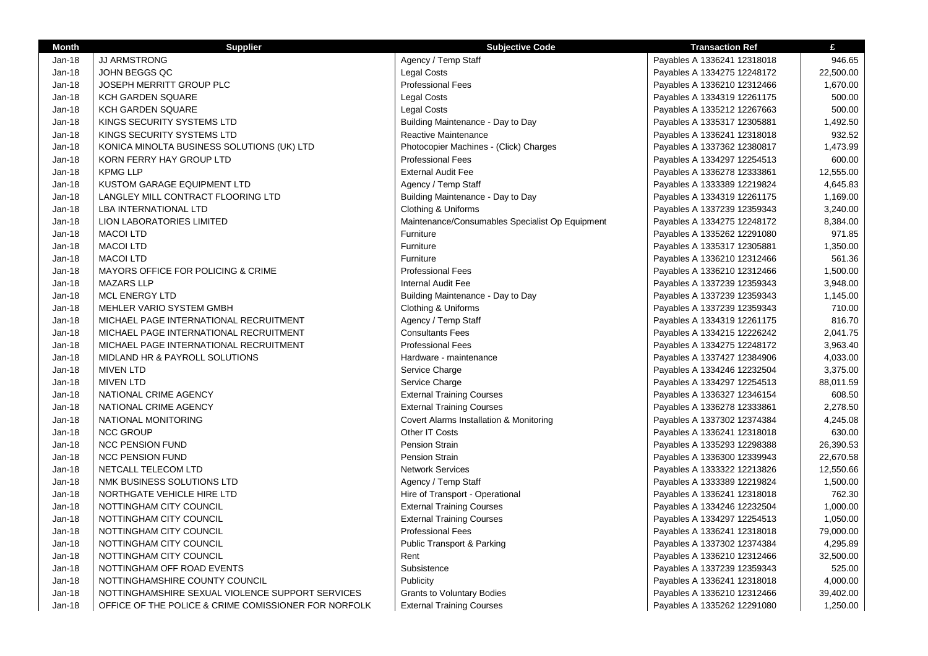| <b>Month</b> | <b>Supplier</b>                                      | <b>Subjective Code</b>                          | <b>Transaction Ref</b>      | £         |
|--------------|------------------------------------------------------|-------------------------------------------------|-----------------------------|-----------|
| Jan-18       | <b>JJ ARMSTRONG</b>                                  | Agency / Temp Staff                             | Payables A 1336241 12318018 | 946.65    |
| $Jan-18$     | JOHN BEGGS QC                                        | <b>Legal Costs</b>                              | Payables A 1334275 12248172 | 22,500.00 |
| Jan-18       | JOSEPH MERRITT GROUP PLC                             | <b>Professional Fees</b>                        | Payables A 1336210 12312466 | 1,670.00  |
| Jan-18       | <b>KCH GARDEN SQUARE</b>                             | <b>Legal Costs</b>                              | Payables A 1334319 12261175 | 500.00    |
| Jan-18       | KCH GARDEN SQUARE                                    | <b>Legal Costs</b>                              | Payables A 1335212 12267663 | 500.00    |
| Jan-18       | KINGS SECURITY SYSTEMS LTD                           | Building Maintenance - Day to Day               | Payables A 1335317 12305881 | 1,492.50  |
| Jan-18       | KINGS SECURITY SYSTEMS LTD                           | Reactive Maintenance                            | Payables A 1336241 12318018 | 932.52    |
| Jan-18       | KONICA MINOLTA BUSINESS SOLUTIONS (UK) LTD           | Photocopier Machines - (Click) Charges          | Payables A 1337362 12380817 | 1,473.99  |
| Jan-18       | KORN FERRY HAY GROUP LTD                             | <b>Professional Fees</b>                        | Payables A 1334297 12254513 | 600.00    |
| Jan-18       | <b>KPMG LLP</b>                                      | <b>External Audit Fee</b>                       | Payables A 1336278 12333861 | 12,555.00 |
| Jan-18       | <b>KUSTOM GARAGE EQUIPMENT LTD</b>                   | Agency / Temp Staff                             | Payables A 1333389 12219824 | 4,645.83  |
| Jan-18       | LANGLEY MILL CONTRACT FLOORING LTD                   | Building Maintenance - Day to Day               | Payables A 1334319 12261175 | 1,169.00  |
| Jan-18       | <b>LBA INTERNATIONAL LTD</b>                         | Clothing & Uniforms                             | Payables A 1337239 12359343 | 3,240.00  |
| Jan-18       | <b>LION LABORATORIES LIMITED</b>                     | Maintenance/Consumables Specialist Op Equipment | Payables A 1334275 12248172 | 8,384.00  |
| Jan-18       | <b>MACOI LTD</b>                                     | Furniture                                       | Payables A 1335262 12291080 | 971.85    |
| Jan-18       | <b>MACOI LTD</b>                                     | Furniture                                       | Payables A 1335317 12305881 | 1,350.00  |
| Jan-18       | <b>MACOI LTD</b>                                     | Furniture                                       | Payables A 1336210 12312466 | 561.36    |
| Jan-18       | MAYORS OFFICE FOR POLICING & CRIME                   | <b>Professional Fees</b>                        | Payables A 1336210 12312466 | 1,500.00  |
| Jan-18       | <b>MAZARS LLP</b>                                    | <b>Internal Audit Fee</b>                       | Payables A 1337239 12359343 | 3,948.00  |
| Jan-18       | <b>MCL ENERGY LTD</b>                                | Building Maintenance - Day to Day               | Payables A 1337239 12359343 | 1,145.00  |
| Jan-18       | MEHLER VARIO SYSTEM GMBH                             | Clothing & Uniforms                             | Payables A 1337239 12359343 | 710.00    |
| Jan-18       | MICHAEL PAGE INTERNATIONAL RECRUITMENT               | Agency / Temp Staff                             | Payables A 1334319 12261175 | 816.70    |
| Jan-18       | MICHAEL PAGE INTERNATIONAL RECRUITMENT               | <b>Consultants Fees</b>                         | Payables A 1334215 12226242 | 2,041.75  |
| Jan-18       | MICHAEL PAGE INTERNATIONAL RECRUITMENT               | <b>Professional Fees</b>                        | Payables A 1334275 12248172 | 3,963.40  |
| $Jan-18$     | MIDLAND HR & PAYROLL SOLUTIONS                       | Hardware - maintenance                          | Payables A 1337427 12384906 | 4,033.00  |
| Jan-18       | <b>MIVEN LTD</b>                                     | Service Charge                                  | Payables A 1334246 12232504 | 3,375.00  |
| Jan-18       | <b>MIVEN LTD</b>                                     | Service Charge                                  | Payables A 1334297 12254513 | 88,011.59 |
| Jan-18       | NATIONAL CRIME AGENCY                                | <b>External Training Courses</b>                | Payables A 1336327 12346154 | 608.50    |
| Jan-18       | NATIONAL CRIME AGENCY                                | <b>External Training Courses</b>                | Payables A 1336278 12333861 | 2,278.50  |
| Jan-18       | NATIONAL MONITORING                                  | Covert Alarms Installation & Monitoring         | Payables A 1337302 12374384 | 4,245.08  |
| Jan-18       | <b>NCC GROUP</b>                                     | Other IT Costs                                  | Payables A 1336241 12318018 | 630.00    |
| Jan-18       | <b>NCC PENSION FUND</b>                              | <b>Pension Strain</b>                           | Payables A 1335293 12298388 | 26,390.53 |
| Jan-18       | <b>NCC PENSION FUND</b>                              | <b>Pension Strain</b>                           | Payables A 1336300 12339943 | 22,670.58 |
| $Jan-18$     | NETCALL TELECOM LTD                                  | <b>Network Services</b>                         | Payables A 1333322 12213826 | 12,550.66 |
| Jan-18       | NMK BUSINESS SOLUTIONS LTD                           | Agency / Temp Staff                             | Payables A 1333389 12219824 | 1,500.00  |
| Jan-18       | NORTHGATE VEHICLE HIRE LTD                           | Hire of Transport - Operational                 | Payables A 1336241 12318018 | 762.30    |
| Jan-18       | NOTTINGHAM CITY COUNCIL                              | <b>External Training Courses</b>                | Payables A 1334246 12232504 | 1,000.00  |
| $Jan-18$     | NOTTINGHAM CITY COUNCIL                              | <b>External Training Courses</b>                | Payables A 1334297 12254513 | 1,050.00  |
| Jan-18       | NOTTINGHAM CITY COUNCIL                              | <b>Professional Fees</b>                        | Payables A 1336241 12318018 | 79,000.00 |
| Jan-18       | NOTTINGHAM CITY COUNCIL                              | Public Transport & Parking                      | Payables A 1337302 12374384 | 4,295.89  |
| Jan-18       | NOTTINGHAM CITY COUNCIL                              | Rent                                            | Payables A 1336210 12312466 | 32,500.00 |
| Jan-18       | NOTTINGHAM OFF ROAD EVENTS                           | Subsistence                                     | Payables A 1337239 12359343 | 525.00    |
| $Jan-18$     | NOTTINGHAMSHIRE COUNTY COUNCIL                       | Publicity                                       | Payables A 1336241 12318018 | 4,000.00  |
| Jan-18       | NOTTINGHAMSHIRE SEXUAL VIOLENCE SUPPORT SERVICES     | <b>Grants to Voluntary Bodies</b>               | Payables A 1336210 12312466 | 39,402.00 |
| $Jan-18$     | OFFICE OF THE POLICE & CRIME COMISSIONER FOR NORFOLK | <b>External Training Courses</b>                | Payables A 1335262 12291080 | 1,250.00  |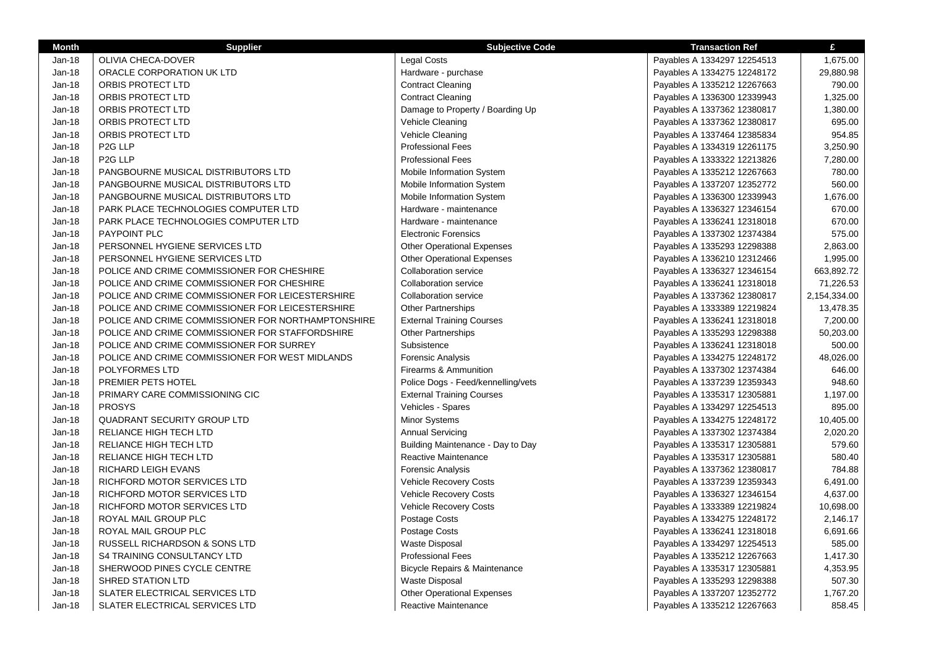| <b>Month</b> | <b>Supplier</b>                                    | <b>Subjective Code</b>             | <b>Transaction Ref</b>      | £            |
|--------------|----------------------------------------------------|------------------------------------|-----------------------------|--------------|
| Jan-18       | OLIVIA CHECA-DOVER                                 | Legal Costs                        | Payables A 1334297 12254513 | 1,675.00     |
| Jan-18       | ORACLE CORPORATION UK LTD                          | Hardware - purchase                | Payables A 1334275 12248172 | 29,880.98    |
| Jan-18       | ORBIS PROTECT LTD                                  | <b>Contract Cleaning</b>           | Payables A 1335212 12267663 | 790.00       |
| Jan-18       | ORBIS PROTECT LTD                                  | <b>Contract Cleaning</b>           | Payables A 1336300 12339943 | 1,325.00     |
| Jan-18       | ORBIS PROTECT LTD                                  | Damage to Property / Boarding Up   | Payables A 1337362 12380817 | 1,380.00     |
| Jan-18       | ORBIS PROTECT LTD                                  | Vehicle Cleaning                   | Payables A 1337362 12380817 | 695.00       |
| Jan-18       | ORBIS PROTECT LTD                                  | Vehicle Cleaning                   | Payables A 1337464 12385834 | 954.85       |
| Jan-18       | P <sub>2</sub> G LLP                               | <b>Professional Fees</b>           | Payables A 1334319 12261175 | 3,250.90     |
| Jan-18       | P <sub>2</sub> G LLP                               | <b>Professional Fees</b>           | Payables A 1333322 12213826 | 7,280.00     |
| Jan-18       | PANGBOURNE MUSICAL DISTRIBUTORS LTD                | Mobile Information System          | Payables A 1335212 12267663 | 780.00       |
| Jan-18       | PANGBOURNE MUSICAL DISTRIBUTORS LTD                | Mobile Information System          | Payables A 1337207 12352772 | 560.00       |
| Jan-18       | PANGBOURNE MUSICAL DISTRIBUTORS LTD                | Mobile Information System          | Payables A 1336300 12339943 | 1,676.00     |
| Jan-18       | PARK PLACE TECHNOLOGIES COMPUTER LTD               | Hardware - maintenance             | Payables A 1336327 12346154 | 670.00       |
| Jan-18       | PARK PLACE TECHNOLOGIES COMPUTER LTD               | Hardware - maintenance             | Payables A 1336241 12318018 | 670.00       |
| Jan-18       | <b>PAYPOINT PLC</b>                                | <b>Electronic Forensics</b>        | Payables A 1337302 12374384 | 575.00       |
| Jan-18       | PERSONNEL HYGIENE SERVICES LTD                     | <b>Other Operational Expenses</b>  | Payables A 1335293 12298388 | 2,863.00     |
| Jan-18       | PERSONNEL HYGIENE SERVICES LTD                     | <b>Other Operational Expenses</b>  | Payables A 1336210 12312466 | 1,995.00     |
| Jan-18       | POLICE AND CRIME COMMISSIONER FOR CHESHIRE         | <b>Collaboration service</b>       | Payables A 1336327 12346154 | 663,892.72   |
| Jan-18       | POLICE AND CRIME COMMISSIONER FOR CHESHIRE         | <b>Collaboration service</b>       | Payables A 1336241 12318018 | 71,226.53    |
| Jan-18       | POLICE AND CRIME COMMISSIONER FOR LEICESTERSHIRE   | <b>Collaboration service</b>       | Payables A 1337362 12380817 | 2,154,334.00 |
| Jan-18       | POLICE AND CRIME COMMISSIONER FOR LEICESTERSHIRE   | <b>Other Partnerships</b>          | Payables A 1333389 12219824 | 13,478.35    |
| Jan-18       | POLICE AND CRIME COMMISSIONER FOR NORTHAMPTONSHIRE | <b>External Training Courses</b>   | Payables A 1336241 12318018 | 7,200.00     |
| $Jan-18$     | POLICE AND CRIME COMMISSIONER FOR STAFFORDSHIRE    | <b>Other Partnerships</b>          | Payables A 1335293 12298388 | 50,203.00    |
| Jan-18       | POLICE AND CRIME COMMISSIONER FOR SURREY           | Subsistence                        | Payables A 1336241 12318018 | 500.00       |
| $Jan-18$     | POLICE AND CRIME COMMISSIONER FOR WEST MIDLANDS    | <b>Forensic Analysis</b>           | Payables A 1334275 12248172 | 48,026.00    |
| Jan-18       | <b>POLYFORMES LTD</b>                              | Firearms & Ammunition              | Payables A 1337302 12374384 | 646.00       |
| $Jan-18$     | PREMIER PETS HOTEL                                 | Police Dogs - Feed/kennelling/vets | Payables A 1337239 12359343 | 948.60       |
| $Jan-18$     | PRIMARY CARE COMMISSIONING CIC                     | <b>External Training Courses</b>   | Payables A 1335317 12305881 | 1,197.00     |
| Jan-18       | <b>PROSYS</b>                                      | Vehicles - Spares                  | Payables A 1334297 12254513 | 895.00       |
| $Jan-18$     | <b>QUADRANT SECURITY GROUP LTD</b>                 | Minor Systems                      | Payables A 1334275 12248172 | 10,405.00    |
| $Jan-18$     | RELIANCE HIGH TECH LTD                             | <b>Annual Servicing</b>            | Payables A 1337302 12374384 | 2,020.20     |
| $Jan-18$     | RELIANCE HIGH TECH LTD                             | Building Maintenance - Day to Day  | Payables A 1335317 12305881 | 579.60       |
| $Jan-18$     | RELIANCE HIGH TECH LTD                             | Reactive Maintenance               | Payables A 1335317 12305881 | 580.40       |
| Jan-18       | RICHARD LEIGH EVANS                                | <b>Forensic Analysis</b>           | Payables A 1337362 12380817 | 784.88       |
| $Jan-18$     | RICHFORD MOTOR SERVICES LTD                        | <b>Vehicle Recovery Costs</b>      | Payables A 1337239 12359343 | 6,491.00     |
| Jan-18       | RICHFORD MOTOR SERVICES LTD                        | <b>Vehicle Recovery Costs</b>      | Payables A 1336327 12346154 | 4,637.00     |
| Jan-18       | RICHFORD MOTOR SERVICES LTD                        | <b>Vehicle Recovery Costs</b>      | Payables A 1333389 12219824 | 10,698.00    |
| Jan-18       | ROYAL MAIL GROUP PLC                               | Postage Costs                      | Payables A 1334275 12248172 | 2,146.17     |
| Jan-18       | ROYAL MAIL GROUP PLC                               | Postage Costs                      | Payables A 1336241 12318018 | 6,691.66     |
| Jan-18       | RUSSELL RICHARDSON & SONS LTD                      | <b>Waste Disposal</b>              | Payables A 1334297 12254513 | 585.00       |
| $Jan-18$     | <b>S4 TRAINING CONSULTANCY LTD</b>                 | <b>Professional Fees</b>           | Payables A 1335212 12267663 | 1,417.30     |
| Jan-18       | SHERWOOD PINES CYCLE CENTRE                        | Bicycle Repairs & Maintenance      | Payables A 1335317 12305881 | 4,353.95     |
| Jan-18       | SHRED STATION LTD                                  | <b>Waste Disposal</b>              | Payables A 1335293 12298388 | 507.30       |
| $Jan-18$     | SLATER ELECTRICAL SERVICES LTD                     | <b>Other Operational Expenses</b>  | Payables A 1337207 12352772 | 1,767.20     |
| Jan-18       | SLATER ELECTRICAL SERVICES LTD                     | Reactive Maintenance               | Payables A 1335212 12267663 | 858.45       |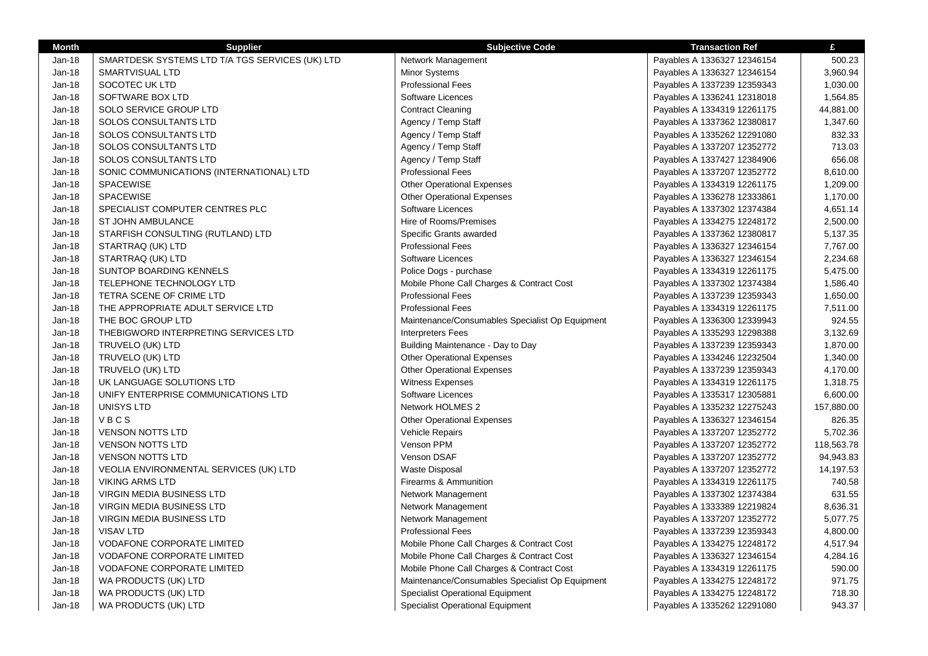| <b>Month</b> | <b>Supplier</b>                                 | <b>Subjective Code</b>                          | <b>Transaction Ref</b>      | £          |
|--------------|-------------------------------------------------|-------------------------------------------------|-----------------------------|------------|
| Jan-18       | SMARTDESK SYSTEMS LTD T/A TGS SERVICES (UK) LTD | Network Management                              | Payables A 1336327 12346154 | 500.23     |
| Jan-18       | <b>SMARTVISUAL LTD</b>                          | <b>Minor Systems</b>                            | Payables A 1336327 12346154 | 3,960.94   |
| $Jan-18$     | SOCOTEC UK LTD                                  | <b>Professional Fees</b>                        | Payables A 1337239 12359343 | 1,030.00   |
| $Jan-18$     | SOFTWARE BOX LTD                                | Software Licences                               | Payables A 1336241 12318018 | 1,564.85   |
| Jan-18       | SOLO SERVICE GROUP LTD                          | <b>Contract Cleaning</b>                        | Payables A 1334319 12261175 | 44,881.00  |
| Jan-18       | <b>SOLOS CONSULTANTS LTD</b>                    | Agency / Temp Staff                             | Payables A 1337362 12380817 | 1,347.60   |
| Jan-18       | SOLOS CONSULTANTS LTD                           | Agency / Temp Staff                             | Payables A 1335262 12291080 | 832.33     |
| Jan-18       | <b>SOLOS CONSULTANTS LTD</b>                    | Agency / Temp Staff                             | Payables A 1337207 12352772 | 713.03     |
| Jan-18       | SOLOS CONSULTANTS LTD                           | Agency / Temp Staff                             | Payables A 1337427 12384906 | 656.08     |
| Jan-18       | SONIC COMMUNICATIONS (INTERNATIONAL) LTD        | <b>Professional Fees</b>                        | Payables A 1337207 12352772 | 8,610.00   |
| $Jan-18$     | <b>SPACEWISE</b>                                | <b>Other Operational Expenses</b>               | Payables A 1334319 12261175 | 1,209.00   |
| $Jan-18$     | <b>SPACEWISE</b>                                | <b>Other Operational Expenses</b>               | Payables A 1336278 12333861 | 1,170.00   |
| Jan-18       | SPECIALIST COMPUTER CENTRES PLC                 | Software Licences                               | Payables A 1337302 12374384 | 4,651.14   |
| Jan-18       | ST JOHN AMBULANCE                               | Hire of Rooms/Premises                          | Payables A 1334275 12248172 | 2,500.00   |
| Jan-18       | STARFISH CONSULTING (RUTLAND) LTD               | Specific Grants awarded                         | Payables A 1337362 12380817 | 5,137.35   |
| Jan-18       | STARTRAQ (UK) LTD                               | <b>Professional Fees</b>                        | Payables A 1336327 12346154 | 7,767.00   |
| Jan-18       | STARTRAQ (UK) LTD                               | Software Licences                               | Payables A 1336327 12346154 | 2,234.68   |
| Jan-18       | SUNTOP BOARDING KENNELS                         | Police Dogs - purchase                          | Payables A 1334319 12261175 | 5,475.00   |
| $Jan-18$     | TELEPHONE TECHNOLOGY LTD                        | Mobile Phone Call Charges & Contract Cost       | Payables A 1337302 12374384 | 1,586.40   |
| $Jan-18$     | TETRA SCENE OF CRIME LTD                        | <b>Professional Fees</b>                        | Payables A 1337239 12359343 | 1,650.00   |
| Jan-18       | THE APPROPRIATE ADULT SERVICE LTD               | <b>Professional Fees</b>                        | Payables A 1334319 12261175 | 7,511.00   |
| Jan-18       | THE BOC GROUP LTD                               | Maintenance/Consumables Specialist Op Equipment | Payables A 1336300 12339943 | 924.55     |
| Jan-18       | THEBIGWORD INTERPRETING SERVICES LTD            | <b>Interpreters Fees</b>                        | Payables A 1335293 12298388 | 3,132.69   |
| Jan-18       | TRUVELO (UK) LTD                                | Building Maintenance - Day to Day               | Payables A 1337239 12359343 | 1,870.00   |
| $Jan-18$     | TRUVELO (UK) LTD                                | <b>Other Operational Expenses</b>               | Payables A 1334246 12232504 | 1,340.00   |
| Jan-18       | TRUVELO (UK) LTD                                | <b>Other Operational Expenses</b>               | Payables A 1337239 12359343 | 4,170.00   |
| $Jan-18$     | UK LANGUAGE SOLUTIONS LTD                       | <b>Witness Expenses</b>                         | Payables A 1334319 12261175 | 1,318.75   |
| Jan-18       | UNIFY ENTERPRISE COMMUNICATIONS LTD             | Software Licences                               | Payables A 1335317 12305881 | 6,600.00   |
| $Jan-18$     | UNISYS LTD                                      | Network HOLMES 2                                | Payables A 1335232 12275243 | 157,880.00 |
| Jan-18       | VBCS                                            | <b>Other Operational Expenses</b>               | Payables A 1336327 12346154 | 826.35     |
| Jan-18       | <b>VENSON NOTTS LTD</b>                         | <b>Vehicle Repairs</b>                          | Payables A 1337207 12352772 | 5,702.36   |
| Jan-18       | <b>VENSON NOTTS LTD</b>                         | Venson PPM                                      | Payables A 1337207 12352772 | 118,563.78 |
| $Jan-18$     | <b>VENSON NOTTS LTD</b>                         | Venson DSAF                                     | Payables A 1337207 12352772 | 94,943.83  |
| Jan-18       | VEOLIA ENVIRONMENTAL SERVICES (UK) LTD          | <b>Waste Disposal</b>                           | Payables A 1337207 12352772 | 14,197.53  |
| $Jan-18$     | <b>VIKING ARMS LTD</b>                          | Firearms & Ammunition                           | Payables A 1334319 12261175 | 740.58     |
| Jan-18       | <b>VIRGIN MEDIA BUSINESS LTD</b>                | Network Management                              | Payables A 1337302 12374384 | 631.55     |
| $Jan-18$     | VIRGIN MEDIA BUSINESS LTD                       | Network Management                              | Payables A 1333389 12219824 | 8,636.31   |
| Jan-18       | VIRGIN MEDIA BUSINESS LTD                       | Network Management                              | Payables A 1337207 12352772 | 5,077.75   |
| Jan-18       | <b>VISAV LTD</b>                                | <b>Professional Fees</b>                        | Payables A 1337239 12359343 | 4,800.00   |
| Jan-18       | VODAFONE CORPORATE LIMITED                      | Mobile Phone Call Charges & Contract Cost       | Payables A 1334275 12248172 | 4,517.94   |
| Jan-18       | <b>VODAFONE CORPORATE LIMITED</b>               | Mobile Phone Call Charges & Contract Cost       | Payables A 1336327 12346154 | 4,284.16   |
| Jan-18       | <b>VODAFONE CORPORATE LIMITED</b>               | Mobile Phone Call Charges & Contract Cost       | Payables A 1334319 12261175 | 590.00     |
| Jan-18       | WA PRODUCTS (UK) LTD                            | Maintenance/Consumables Specialist Op Equipment | Payables A 1334275 12248172 | 971.75     |
| $Jan-18$     | WA PRODUCTS (UK) LTD                            | <b>Specialist Operational Equipment</b>         | Payables A 1334275 12248172 | 718.30     |
| $Jan-18$     | WA PRODUCTS (UK) LTD                            | <b>Specialist Operational Equipment</b>         | Payables A 1335262 12291080 | 943.37     |